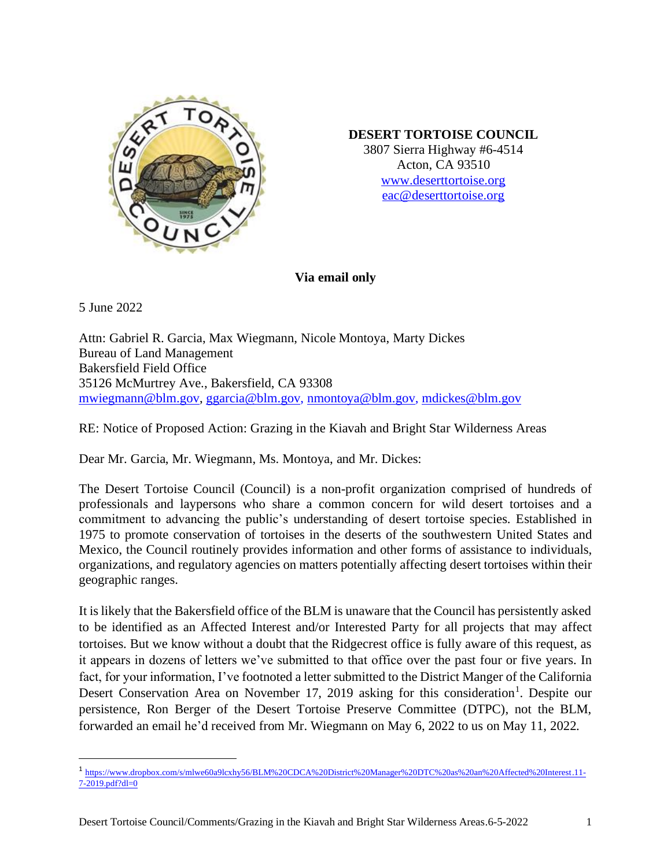

## **DESERT TORTOISE COUNCIL**

3807 Sierra Highway #6-4514 Acton, CA 93510 [www.deserttortoise.org](http://www.deserttortoise.org/) eac@deserttortoise.org

**Via email only**

5 June 2022

Attn: Gabriel R. Garcia, Max Wiegmann, Nicole Montoya, Marty Dickes Bureau of Land Management Bakersfield Field Office 35126 McMurtrey Ave., Bakersfield, CA 93308 [mwiegmann@blm.gov,](mailto:mwiegmann@blm.gov) [ggarcia@blm.gov,](mailto:ggarcia@blm.gov) [nmontoya@blm.gov,](mailto:nmontoya@blm.gov) [mdickes@blm.gov](mailto:mdickes@blm.gov)

RE: Notice of Proposed Action: Grazing in the Kiavah and Bright Star Wilderness Areas

Dear Mr. Garcia, Mr. Wiegmann, Ms. Montoya, and Mr. Dickes:

The Desert Tortoise Council (Council) is a non-profit organization comprised of hundreds of professionals and laypersons who share a common concern for wild desert tortoises and a commitment to advancing the public's understanding of desert tortoise species. Established in 1975 to promote conservation of tortoises in the deserts of the southwestern United States and Mexico, the Council routinely provides information and other forms of assistance to individuals, organizations, and regulatory agencies on matters potentially affecting desert tortoises within their geographic ranges.

It is likely that the Bakersfield office of the BLM is unaware that the Council has persistently asked to be identified as an Affected Interest and/or Interested Party for all projects that may affect tortoises. But we know without a doubt that the Ridgecrest office is fully aware of this request, as it appears in dozens of letters we've submitted to that office over the past four or five years. In fact, for your information, I've footnoted a letter submitted to the District Manger of the California Desert Conservation Area on November 17, 2019 asking for this consideration<sup>1</sup>. Despite our persistence, Ron Berger of the Desert Tortoise Preserve Committee (DTPC), not the BLM, forwarded an email he'd received from Mr. Wiegmann on May 6, 2022 to us on May 11, 2022.

<sup>1</sup> [https://www.dropbox.com/s/mlwe60a9lcxhy56/BLM%20CDCA%20District%20Manager%20DTC%20as%20an%20Affected%20Interest.11-](https://www.dropbox.com/s/mlwe60a9lcxhy56/BLM%20CDCA%20District%20Manager%20DTC%20as%20an%20Affected%20Interest.11-7-2019.pdf?dl=0) [7-2019.pdf?dl=0](https://www.dropbox.com/s/mlwe60a9lcxhy56/BLM%20CDCA%20District%20Manager%20DTC%20as%20an%20Affected%20Interest.11-7-2019.pdf?dl=0)